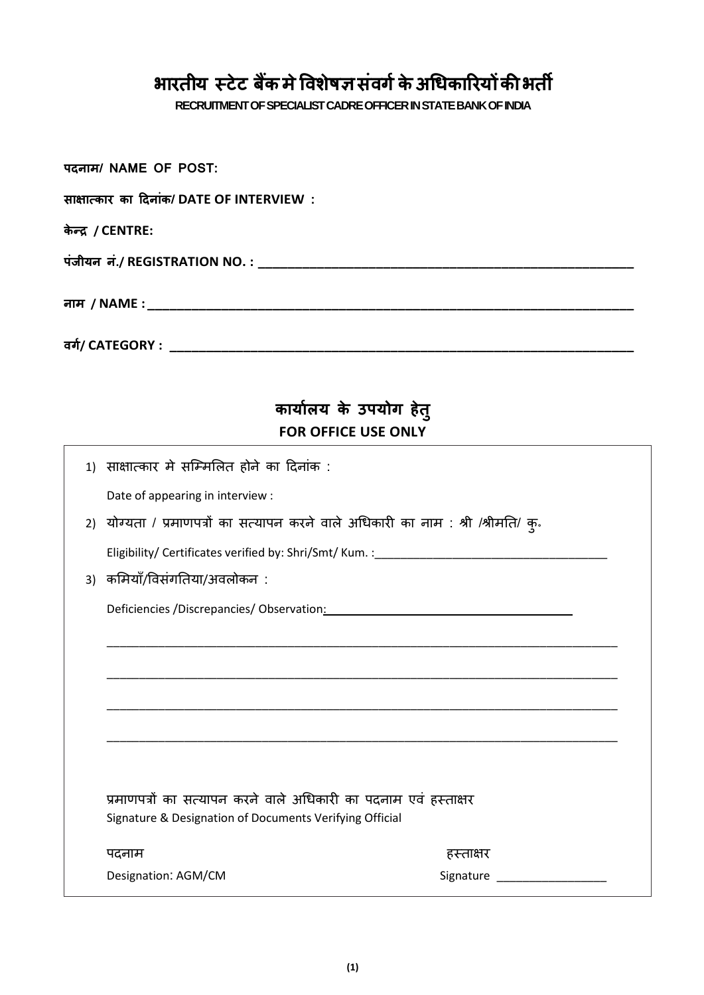## **भारतीय स्टेट बैंकमेविशेषज्ञसंिर्गकेअधिकाररयोंकीभती**

**RECRUITMENT OFSPECIALIST CADRE OFFICERINSTATE BANK OF INDIA**

**पदनाम/ NAME OF POST:** 

| साक्षात्कार का दिनांक/ DATE OF INTERVIEW:                                          |  |
|------------------------------------------------------------------------------------|--|
| केन्द्र / CENTRE:                                                                  |  |
|                                                                                    |  |
|                                                                                    |  |
|                                                                                    |  |
|                                                                                    |  |
|                                                                                    |  |
| कार्यालय के उपयोग हेतु                                                             |  |
| <b>FOR OFFICE USE ONLY</b>                                                         |  |
| 1) साक्षात्कार मे सम्मिलित होने का दिनांक :                                        |  |
| Date of appearing in interview :                                                   |  |
| 2) योग्यता / प्रमाणपत्रों का सत्यापन करने वाले अधिकारी का नाम : श्री /श्रीमति/ क्. |  |
|                                                                                    |  |
| 3) कमियाँ/विसंगतिया/अवलोकन :                                                       |  |
|                                                                                    |  |
|                                                                                    |  |
|                                                                                    |  |
|                                                                                    |  |
|                                                                                    |  |
|                                                                                    |  |
|                                                                                    |  |
| प्रमाणपत्रों का सत्यापन करने वाले अधिकारी का पदनाम एवं हस्ताक्षर                   |  |
| Signature & Designation of Documents Verifying Official                            |  |
| पदनाम<br>हस्ताक्षर                                                                 |  |
| Designation: AGM/CM<br>Signature                                                   |  |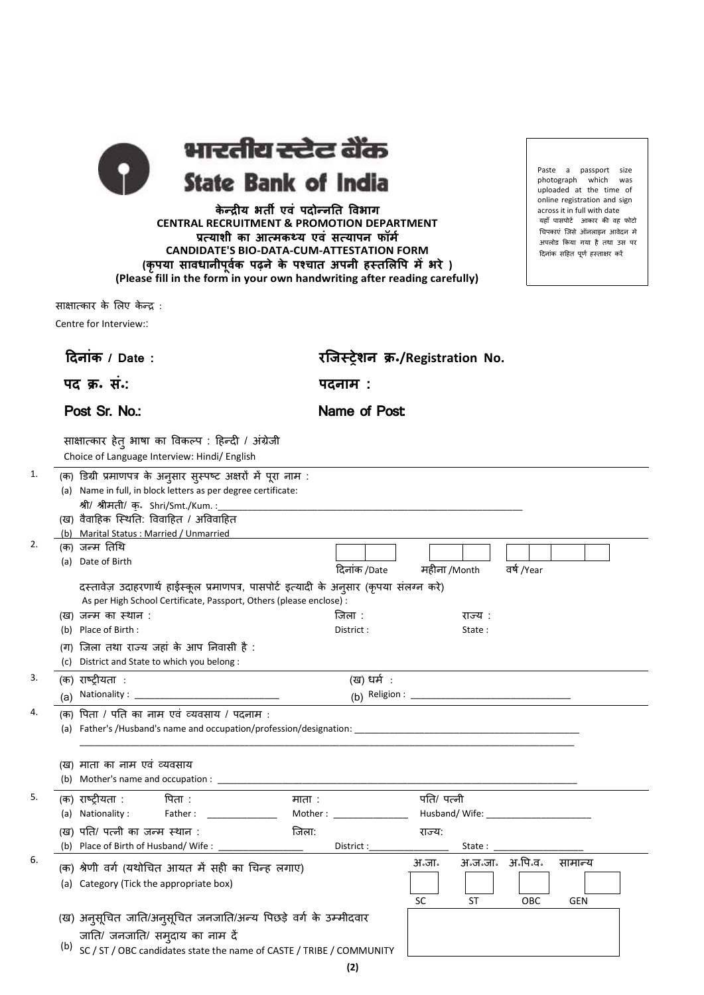भारतीय स्टेट बैंक **State Bank of India** 

**के न्द्रीय भती एिं पदोन्द्नतत विभार् CENTRAL RECRUITMENT & PROMOTION DEPARTMENT प्रत्याशी का आत्मकथ्य एिं सत्यापन फॉमग CANDIDATE'S BIO-DATA-CUM-ATTESTATION FORM (कृपया साििानीपूिकग पढ़ने के पश्चात अपनी हस्तललवप मेंभरे ) (Please fill in the form in your own handwriting after reading carefully)**

साक्षात्कार के लिए केन्द्र :

Centre for Interview::

|    | दिनांक / Date:                                                                                                                                                                                                                                               | रजिस्ट्रेशन क्र•/Registration No.                             |
|----|--------------------------------------------------------------------------------------------------------------------------------------------------------------------------------------------------------------------------------------------------------------|---------------------------------------------------------------|
|    | पद क्र. सं.:                                                                                                                                                                                                                                                 | पदनाम :                                                       |
|    | Post Sr. No.:                                                                                                                                                                                                                                                | Name of Post                                                  |
|    | साक्षात्कार हेतु भाषा का विकल्प : हिन्दी / अंग्रेजी<br>Choice of Language Interview: Hindi/ English                                                                                                                                                          |                                                               |
| 1. | (क) डिग्री प्रमाणपत्र के अनुसार सुस्पष्ट अक्षरों में पूरा नाम :<br>(a) Name in full, in block letters as per degree certificate:<br>श्री/ श्रीमती/ क़. Shri/Smt./Kum.:<br>(ख) वैवाहिक स्थिति: विवाहित / अविवाहित<br>(b) Marital Status : Married / Unmarried |                                                               |
| 2. | (क) जन्म तिथि<br>(a) Date of Birth                                                                                                                                                                                                                           | दिनांक /Date<br>वर्ष /Year<br>महीना /Month                    |
|    | दस्तावेज़ उदाहरणार्थ हाईस्कूल प्रमाणपत्र, पासपोर्ट इत्यादी के अनुसार (कृपया संलग्न करे)<br>As per High School Certificate, Passport, Others (please enclose) :                                                                                               |                                                               |
|    | (ख) जन्म का स्थान :<br>(b) Place of Birth:<br>(ग) जिला तथा राज्य जहां के आप निवासी है :<br>(c) District and State to which you belong :                                                                                                                      | जिला :<br>राज्य :<br>District :<br>State:                     |
| 3. | (क) राष्ट्रीयता :<br>(a)                                                                                                                                                                                                                                     | (ख) धर्म :                                                    |
| 4. | (क) पिता / पति का नाम एवं व्यवसाय / पदनाम :                                                                                                                                                                                                                  |                                                               |
|    | (ख) माता का नाम एवं व्यवसाय                                                                                                                                                                                                                                  |                                                               |
| 5. | (क) राष्ट्रीयता :<br>पिता :<br>माता :<br>(a) Nationality :<br>Father:<br>(ख) पति/ पत्नी का जन्म स्थान :<br>जिला:<br>(b) Place of Birth of Husband/Wife:                                                                                                      | पति/ पत्नी<br>राज्य:<br>District :<br>State:                  |
| 6. | (क) श्रेणी वर्ग (यथोचित आयत में सही का चिन्ह लगाए)<br>(a) Category (Tick the appropriate box)                                                                                                                                                                | अ॰ज॰जा॰ अ॰पि॰व॰<br>अ:जाः<br>सामान्य<br>OBC<br>SC<br>ST<br>GEN |
|    | (ख) अनुसूचित जाति/अनुसूचित जनजाति/अन्य पिछड़े वर्ग के उम्मीदवार<br>जाति/ जनजाति/ समुदाय का नाम दें<br>(b)<br>SC / ST / OBC candidates state the name of CASTE / TRIBE / COMMUNITY                                                                            |                                                               |

Paste a passport size photograph which was uploaded at the time of online registration and sign across it in full with date यहााँ पासपोर्ट आकार की वह फोर्ो चिपकाएं जिसे ऑनलाइन आवेदन मे अपिोड ककया गया है तथा उस पर दिनांक सहित पूर्ण हस्ताक्षर करें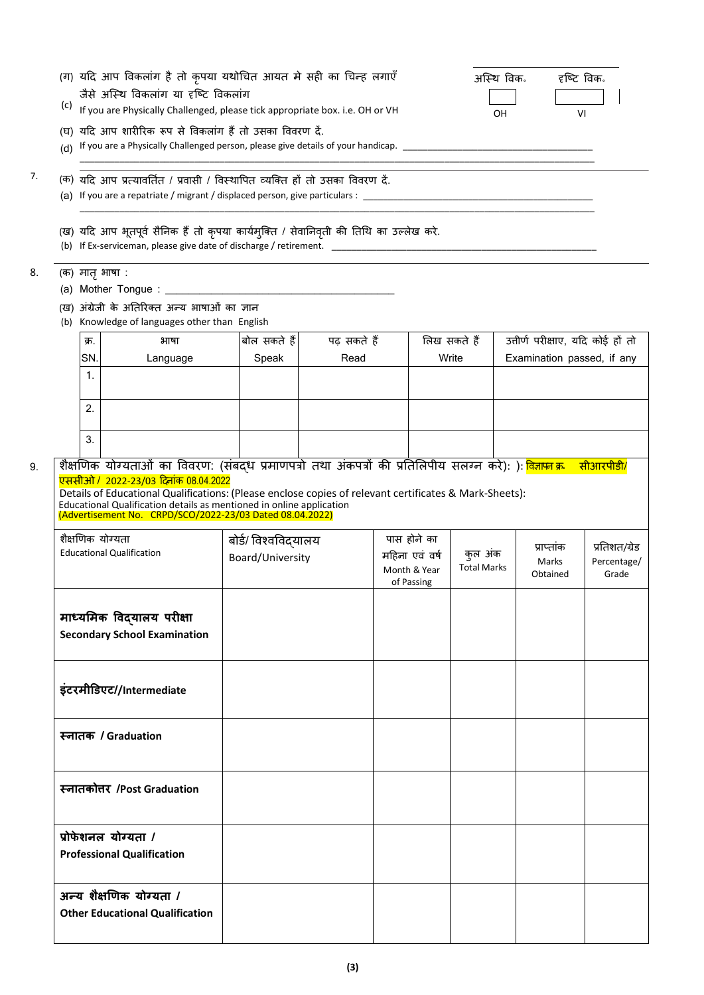| (c) |                                                      | (ग) यदि आप विकलांग है तो कृपया यथोचित आयत मे सही का चिन्ह लगाएँ<br>जैसे अस्थि विकलांग या दृष्टि विकलांग<br>If you are Physically Challenged, please tick appropriate box. i.e. OH or VH                                                                                                   |                                          |             |                                                             |                               | अस्थि विक.<br>OH | दृष्टि विक.                       | VI                           |
|-----|------------------------------------------------------|-------------------------------------------------------------------------------------------------------------------------------------------------------------------------------------------------------------------------------------------------------------------------------------------|------------------------------------------|-------------|-------------------------------------------------------------|-------------------------------|------------------|-----------------------------------|------------------------------|
|     |                                                      | (घ) यदि आप शारीरिक रूप से विकलांग हैं तो उसका विवरण दें.                                                                                                                                                                                                                                  |                                          |             |                                                             |                               |                  |                                   |                              |
|     |                                                      | (क) यदि आप प्रत्यावर्तित / प्रवासी / विस्थापित व्यक्ति हों तो उसका विवरण दें.                                                                                                                                                                                                             |                                          |             |                                                             |                               |                  |                                   |                              |
|     |                                                      | (ख) यदि आप भूतपूर्व सैनिक हैं तो कृपया कार्यमुक्ति / सेवानिवृती की तिथि का उल्लेख करे.                                                                                                                                                                                                    |                                          |             |                                                             |                               |                  |                                   |                              |
|     | (क) मातृ भाषा :                                      |                                                                                                                                                                                                                                                                                           |                                          |             |                                                             |                               |                  |                                   |                              |
|     |                                                      |                                                                                                                                                                                                                                                                                           |                                          |             |                                                             |                               |                  |                                   |                              |
|     |                                                      | (ख) अंग्रेजी के अतिरिक्त अन्य भाषाओं का ज्ञान<br>(b) Knowledge of languages other than English                                                                                                                                                                                            |                                          |             |                                                             |                               |                  |                                   |                              |
|     | क्र.                                                 | भाषा                                                                                                                                                                                                                                                                                      | बोल सकते हैं                             | पढ सकते हैं |                                                             | लिख सकते हैं                  |                  | उत्तीर्ण परीक्षाए, यदि कोई हों तो |                              |
|     | SN.                                                  | Language                                                                                                                                                                                                                                                                                  | Speak                                    | Read        |                                                             | Write                         |                  | Examination passed, if any        |                              |
|     | $\mathbf{1}$ .                                       |                                                                                                                                                                                                                                                                                           |                                          |             |                                                             |                               |                  |                                   |                              |
|     | 2.                                                   |                                                                                                                                                                                                                                                                                           |                                          |             |                                                             |                               |                  |                                   |                              |
|     | 3.                                                   |                                                                                                                                                                                                                                                                                           |                                          |             |                                                             |                               |                  |                                   |                              |
|     |                                                      | शैक्षणिक योग्यताओं का विवरण: (संबद्ध प्रमाणपत्रो तथा अंकपत्रों की प्रतिलिपीय सलग्न करे): ): <mark>विज्ञाप्न क्र</mark>                                                                                                                                                                    |                                          |             |                                                             |                               |                  |                                   | सीआरपीडी/                    |
|     | शैक्षणिक योग्यता<br><b>Educational Qualification</b> | <u>एससीओ / 2022-23/03 दिनांक 08.04.2022</u><br>Details of Educational Qualifications: (Please enclose copies of relevant certificates & Mark-Sheets):<br>Educational Qualification details as mentioned in online application<br>(Advertisement No. CRPD/SCO/2022-23/03 Dated 08.04.2022) | बोर्ड/ विश्वविद्यालय<br>Board/University |             | पास होने का<br>महिना एवं वर्ष<br>Month & Year<br>of Passing | कुल अंक<br><b>Total Marks</b> |                  | प्राप्ताक<br>Marks<br>Obtained    | Grade                        |
|     |                                                      | माध्यमिक विद्यालय परीक्षा<br><b>Secondary School Examination</b>                                                                                                                                                                                                                          |                                          |             |                                                             |                               |                  |                                   |                              |
|     |                                                      | इंटरमीडिएट//Intermediate                                                                                                                                                                                                                                                                  |                                          |             |                                                             |                               |                  |                                   | प्रतिशत/ग्रेड<br>Percentage/ |
|     | स्नातक / Graduation                                  |                                                                                                                                                                                                                                                                                           |                                          |             |                                                             |                               |                  |                                   |                              |
|     |                                                      | स्नातकोत्तर /Post Graduation                                                                                                                                                                                                                                                              |                                          |             |                                                             |                               |                  |                                   |                              |
|     | प्रोफेशनल योग्यता /                                  | <b>Professional Qualification</b>                                                                                                                                                                                                                                                         |                                          |             |                                                             |                               |                  |                                   |                              |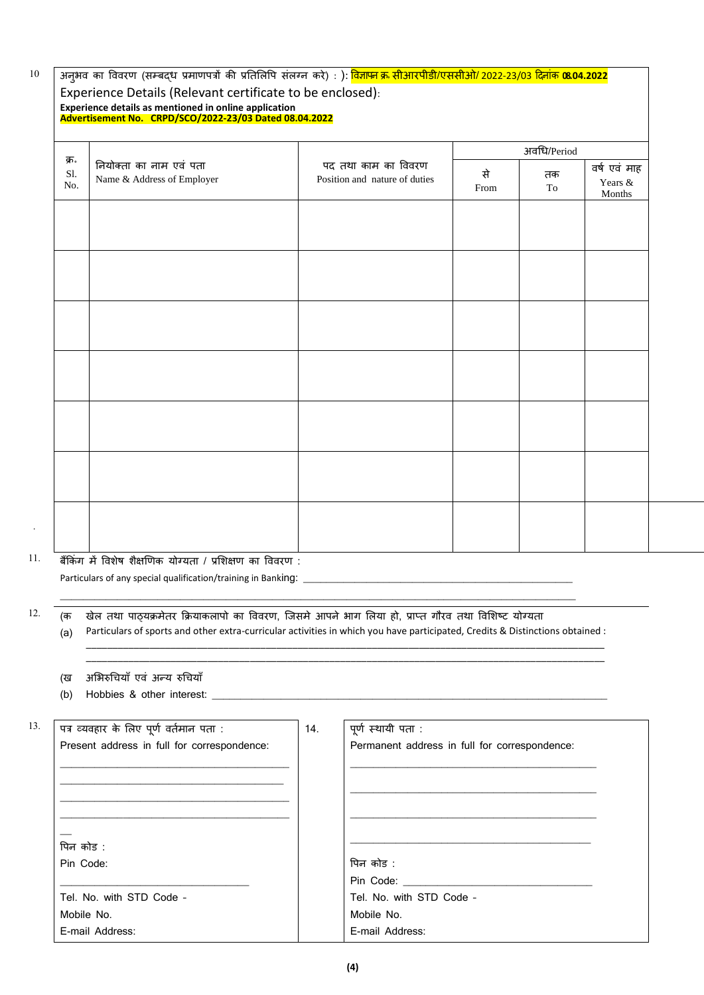## 10

## अनुभव का विवरण (सम्बद्ध प्रमाणपत्रों की प्रतिलिपि संलग्न करे) : ): <mark>विज्ञापन क्र सीआरपीडी/एससीओ/ 2022-23/03 दिनाक **08.04.2022**</mark> Experience Details (Relevant certificate to be enclosed):

**Experience details as mentioned in online application Advertisement No. CRPD/SCO/2022-23/03 Dated 08.04.2022** 

|                    |                                                       |                                                      | अवधि/Period |                           |                                      |  |
|--------------------|-------------------------------------------------------|------------------------------------------------------|-------------|---------------------------|--------------------------------------|--|
| क्र.<br>S1.<br>No. | नियोक्ता का नाम एवं पता<br>Name & Address of Employer | पद तथा काम का विवरण<br>Position and nature of duties | से<br>From  | तक<br>$\operatorname{To}$ | वर्ष एवं माह<br>Years $\&$<br>Months |  |
|                    |                                                       |                                                      |             |                           |                                      |  |
|                    |                                                       |                                                      |             |                           |                                      |  |
|                    |                                                       |                                                      |             |                           |                                      |  |
|                    |                                                       |                                                      |             |                           |                                      |  |
|                    |                                                       |                                                      |             |                           |                                      |  |
|                    |                                                       |                                                      |             |                           |                                      |  |
|                    |                                                       |                                                      |             |                           |                                      |  |
|                    |                                                       |                                                      |             |                           |                                      |  |
|                    |                                                       |                                                      |             |                           |                                      |  |
|                    |                                                       |                                                      |             |                           |                                      |  |
|                    |                                                       |                                                      |             |                           |                                      |  |
|                    |                                                       |                                                      |             |                           |                                      |  |

11. बकैंकांग में ववशेष शैक्षणणक योग्यता / प्रलशक्षण का वववरण :

Particulars of any special qualification/training in Banking: \_

12. (क

.

(a) खेल तथा पाठ्यक्रमेतर क्रियाकलापो का विवरण, जिसमे आपने भाग लिया हो, प्राप्त गौरव तथा विशिष्ट योग्यता Particulars of sports and other extra-curricular activities in which you have participated, Credits & Distinctions obtained :

\_\_\_\_\_\_\_\_\_\_\_\_\_\_\_\_\_\_\_\_\_\_\_\_\_\_\_\_\_\_\_\_\_\_\_\_\_\_\_\_\_\_\_\_\_\_\_\_\_\_\_\_\_\_\_\_\_\_\_\_\_\_\_\_\_\_\_\_\_\_\_\_\_\_\_\_\_\_\_\_\_\_\_\_\_\_\_\_\_\_\_\_\_\_\_\_\_\_ \_\_\_\_\_\_\_\_\_\_\_\_\_\_\_\_\_\_\_\_\_\_\_\_\_\_\_\_\_\_\_\_\_\_\_\_\_\_\_\_\_\_\_\_\_\_\_\_\_\_\_\_\_\_\_\_\_\_\_\_\_\_\_\_\_\_\_\_\_\_\_\_\_\_\_\_\_\_\_\_\_\_\_\_\_\_\_\_\_\_\_\_\_\_\_\_\_\_

 $\_$  ,  $\_$  ,  $\_$  ,  $\_$  ,  $\_$  ,  $\_$  ,  $\_$  ,  $\_$  ,  $\_$  ,  $\_$  ,  $\_$  ,  $\_$  ,  $\_$  ,  $\_$  ,  $\_$  ,  $\_$  ,  $\_$  ,  $\_$  ,  $\_$  ,  $\_$  ,  $\_$  ,  $\_$  ,  $\_$  ,  $\_$  ,  $\_$  ,  $\_$  ,  $\_$  ,  $\_$  ,  $\_$  ,  $\_$  ,  $\_$  ,  $\_$  ,  $\_$  ,  $\_$  ,  $\_$  ,  $\_$  ,  $\_$  ,

(ख अभिरुचियाँ एवं अन्य रुचियाँ

(b) Hobbies & other interest:

| 13. | पत्र व्यवहार के लिए पूर्ण वर्तमान पता :     | 14. | पूर्ण स्थायी पता :                            |
|-----|---------------------------------------------|-----|-----------------------------------------------|
|     | Present address in full for correspondence: |     | Permanent address in full for correspondence: |
|     |                                             |     |                                               |
|     |                                             |     |                                               |
|     |                                             |     |                                               |
|     |                                             |     |                                               |
|     |                                             |     |                                               |
|     | पिन कोड :                                   |     |                                               |
|     | Pin Code:                                   |     | पिन कोड :                                     |
|     |                                             |     | Pin Code:                                     |
|     | Tel. No. with STD Code -                    |     | Tel. No. with STD Code -                      |
|     | Mobile No.                                  |     | Mobile No.                                    |
|     | E-mail Address:                             |     | E-mail Address:                               |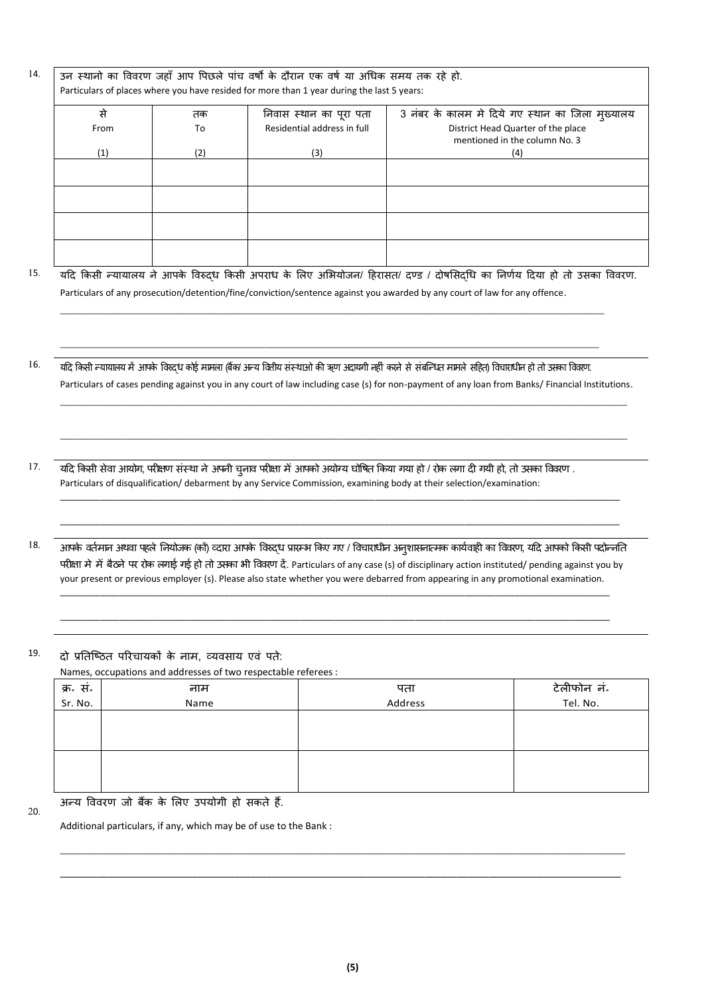$^{14.}$   $\,$  उन स्थानो का विवरण जहाँ आप पिछले पांच वर्षो के दौरान एक वर्ष या अधिक समय तक रहे हो. Particulars of places where you have resided for more than 1 year during the last 5 years:

| से   | तक  | निवास स्थान का पूरा पता     | 3 नंबर के कालम मे दिये गए स्थान का जिला मुख्यालय                    |
|------|-----|-----------------------------|---------------------------------------------------------------------|
| From | To  | Residential address in full | District Head Quarter of the place<br>mentioned in the column No. 3 |
|      |     |                             |                                                                     |
| (1)  | (2) | (3)                         | (4)                                                                 |
|      |     |                             |                                                                     |
|      |     |                             |                                                                     |
|      |     |                             |                                                                     |
|      |     |                             |                                                                     |
|      |     |                             |                                                                     |
|      |     |                             |                                                                     |
|      |     |                             |                                                                     |
|      |     |                             |                                                                     |

15. यदि किसी न्यायालय ने आपके विरुद्ध किसी अपराध के लिए अभियोजन/ हिरासत/ दण्ड / दोषसिद्धि का निर्णय दिया हो तो उसका विवरण. Particulars of any prosecution/detention/fine/conviction/sentence against you awarded by any court of law for any offence.

\_\_\_\_\_\_\_\_\_\_\_\_\_\_\_\_\_\_\_\_\_\_\_\_\_\_\_\_\_\_\_\_\_\_\_\_\_\_\_\_\_\_\_\_\_\_\_\_\_\_\_\_\_\_\_\_\_\_\_\_\_\_\_\_\_\_\_\_\_\_\_\_\_\_\_\_\_\_\_\_\_\_\_\_\_\_\_\_\_\_\_\_\_\_\_

 $16$ . यदि किसी न्यायालय में आपके विस्दुध कोई मामला (बैंक/ अन्य वितीय संस्थाओ की ऋण अदायगी नहीं करने से संबन्धित मामले सहित) विचाराधीन हो तो उसका विवरण. Particulars of cases pending against you in any court of law including case (s) for non-payment of any loan from Banks/ Financial Institutions.

\_\_\_\_\_\_\_\_\_\_\_\_\_\_\_\_\_\_\_\_\_\_\_\_\_\_\_\_\_\_\_\_\_\_\_\_\_\_\_\_\_\_\_\_\_\_\_\_\_\_\_\_\_\_\_\_\_\_\_\_\_\_\_\_\_\_\_\_\_\_\_\_\_\_\_\_\_\_\_\_\_\_\_\_\_\_\_\_\_\_\_\_\_\_\_\_\_\_\_

\_\_\_\_\_\_\_\_\_\_\_\_\_\_\_\_\_\_\_\_\_\_\_\_\_\_\_\_\_\_\_\_\_\_\_\_\_\_\_\_\_\_\_\_\_\_\_\_\_\_\_\_\_\_\_\_\_\_\_\_\_\_\_\_\_\_\_\_\_\_\_\_\_\_\_\_\_\_\_\_\_\_\_\_\_\_\_\_\_\_\_\_\_\_\_\_\_\_\_

\_\_\_\_\_\_\_\_\_\_\_\_\_\_\_\_\_\_\_\_\_\_\_\_\_\_\_\_\_\_\_\_\_\_\_\_\_\_\_\_\_\_\_\_\_\_\_\_\_\_\_\_\_\_\_\_\_\_\_\_\_\_\_\_\_\_\_\_\_\_\_\_\_\_\_\_\_\_\_\_\_\_\_\_\_\_\_\_\_\_\_\_\_\_\_\_\_\_\_\_\_\_\_\_\_\_\_\_\_\_\_\_

\_\_\_\_\_\_\_\_\_\_\_\_\_\_\_\_\_\_\_\_\_\_\_\_\_\_\_\_\_\_\_\_\_\_\_\_\_\_\_\_\_\_\_\_\_\_\_\_\_\_\_\_\_\_\_\_\_\_\_\_\_\_\_\_\_\_\_\_\_\_\_\_\_\_\_\_\_\_\_\_\_\_\_\_\_\_\_\_\_\_\_\_\_\_\_\_\_\_\_\_\_\_\_\_\_\_\_\_\_\_\_\_

 $\_$  ,  $\_$  ,  $\_$  ,  $\_$  ,  $\_$  ,  $\_$  ,  $\_$  ,  $\_$  ,  $\_$  ,  $\_$  ,  $\_$  ,  $\_$  ,  $\_$  ,  $\_$  ,  $\_$  ,  $\_$  ,  $\_$  ,  $\_$  ,  $\_$  ,  $\_$  ,  $\_$  ,  $\_$  ,  $\_$  ,  $\_$  ,  $\_$  ,  $\_$  ,  $\_$  ,  $\_$  ,  $\_$  ,  $\_$  ,  $\_$  ,  $\_$  ,  $\_$  ,  $\_$  ,  $\_$  ,  $\_$  ,  $\_$  ,

- $17$ . यदि किसी सेवा आयोग, परीक्षण संस्था ने अपनी चुनाव परीक्षा में आपको अयोग्य घोषित किया गया हो / रोक लगा दी गयी हो, तो उसका विवरण . Particulars of disqualification/ debarment by any Service Commission, examining body at their selection/examination:
- <sup>1</sup>8. आपके वतटमान अथवा पहिेतनयोिक (कों) व्िारा आपके ववरुद्ि प्रारमभ ककए गए / वविारािीन अनशासनात्मक ु कायटवाही का वववरण, यदि आपको ककसी पिोन्द्नतत परीक्षा मे मेँ बैठने पर रोक लगाई गई हो तो उसका भी विवरण दें. Particulars of any case (s) of disciplinary action instituted/ pending against you by your present or previous employer (s). Please also state whether you were debarred from appearing in any promotional examination.

\_\_\_\_\_\_\_\_\_\_\_\_\_\_\_\_\_\_\_\_\_\_\_\_\_\_\_\_\_\_\_\_\_\_\_\_\_\_\_\_\_\_\_\_\_\_\_\_\_\_\_\_\_\_\_\_\_\_\_\_\_\_\_\_\_\_\_\_\_\_\_\_\_\_\_\_\_\_\_\_\_\_\_\_\_\_\_\_\_\_\_\_\_\_\_\_\_\_\_\_\_\_\_\_\_\_\_\_\_\_

\_\_\_\_\_\_\_\_\_\_\_\_\_\_\_\_\_\_\_\_\_\_\_\_\_\_\_\_\_\_\_\_\_\_\_\_\_\_\_\_\_\_\_\_\_\_\_\_\_\_\_\_\_\_\_\_\_\_\_\_\_\_\_\_\_\_\_\_\_\_\_\_\_\_\_\_\_\_\_\_\_\_\_\_\_\_\_\_\_\_\_\_\_\_\_\_\_\_\_\_\_\_\_\_\_\_\_\_\_\_

 $19.$  दो प्रतिष्ठित परिचायकों के नाम, व्यवसाय एवं पते:

Names, occupations and addresses of two respectable referees :

| क्र <sup>.</sup> सं.<br>Sr. No. | नाम  | पता     | टेलीफोन नं |
|---------------------------------|------|---------|------------|
|                                 | Name | Address | Tel. No.   |
|                                 |      |         |            |
|                                 |      |         |            |
|                                 |      |         |            |
|                                 |      |         |            |
|                                 |      |         |            |
|                                 |      |         |            |

 $\_$  ,  $\_$  ,  $\_$  ,  $\_$  ,  $\_$  ,  $\_$  ,  $\_$  ,  $\_$  ,  $\_$  ,  $\_$  ,  $\_$  ,  $\_$  ,  $\_$  ,  $\_$  ,  $\_$  ,  $\_$  ,  $\_$  ,  $\_$  ,  $\_$  ,  $\_$  ,  $\_$  ,  $\_$  ,  $\_$  ,  $\_$  ,  $\_$  ,  $\_$  ,  $\_$  ,  $\_$  ,  $\_$  ,  $\_$  ,  $\_$  ,  $\_$  ,  $\_$  ,  $\_$  ,  $\_$  ,  $\_$  ,  $\_$  ,

\_\_\_\_\_\_\_\_\_\_\_\_\_\_\_\_\_\_\_\_\_\_\_\_\_\_\_\_\_\_\_\_\_\_\_\_\_\_\_\_\_\_\_\_\_\_\_\_\_\_\_\_\_\_\_\_\_\_\_\_\_\_\_\_\_\_\_\_\_\_\_\_\_\_\_\_\_\_\_\_\_\_\_\_\_\_\_\_\_\_\_\_\_\_\_\_\_\_\_\_\_\_\_\_\_\_

20.

अन्द्य वववरण िो बैंक के लिए उपयोगी हो सकते हैं.

Additional particulars, if any, which may be of use to the Bank :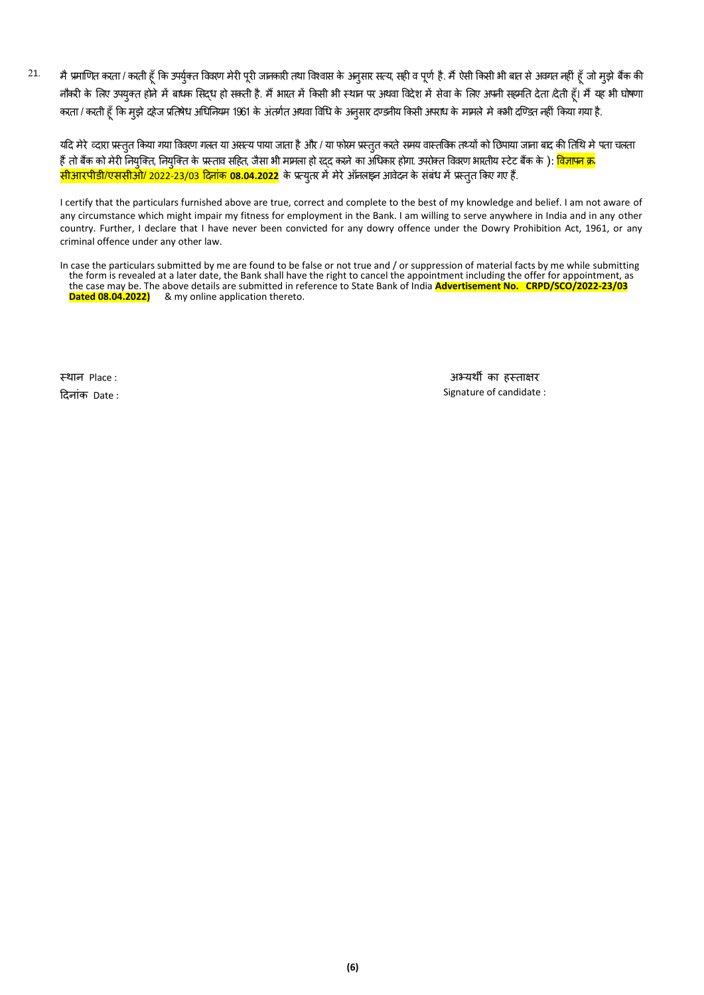$21$  मै प्रमाणित करता / करती हूँ कि उपर्युक्त विवरण मेरी पूरी जानकारी तथा विश्वास के अनुसार सत्य, सही व पूर्ण है. मैं ऐसी किसी भी बात से अवगत नहीं हूँ जो मुझे बैंक की नौकरी के लिए उपयुक्त होने में बाधक सिद्ध हो सकती है. मैं भारत में किसी भी स्थान पर अथवा विदेश में सेवा के लिए अपनी सहमति देता दिती हूँ। मैं यह भी घोषणा करता / करती हूँ कि मुझे दहेज प्रतिषेध अधिनियम 1961 के अंतर्गत अथवा विधि के अनुसार दण्डनीय किसी अपराध के मामले मे कभी दण्डित नहीं किया गया है.

यदि मेरे व्दारा प्रस्तुत किया गया विवरण गलत या असत्य पाया जाता है और / या फोरम प्रस्तुत करते समय वास्तविक तथ्यों को छिपाया जाना बाद की तिथि मे पता चलता हैं तो बैंक को मेरी नियुक्ति, नियुक्ति के प्रस्ताव सहित, जैसा भी मामला हो रद्द करने का अधिकार होगा. उपरोक्त विवरण भारतीय स्टेट बैंक के ): <mark>विज्ञापन क्</mark>र <mark>सीआरपीडी/एससीओ/ 2022-23/03 दिनांक **08.04.2022** के प्रत्युतर में मेरे ऑनलाइन आवेदन के संबंध में प्रस्तुत किए गए हैं.</mark>

I certify that the particulars furnished above are true, correct and complete to the best of my knowledge and belief. I am not aware of any circumstance which might impair my fitness for employment in the Bank. I am willing to serve anywhere in India and in any other country. Further, I declare that I have never been convicted for any dowry offence under the Dowry Prohibition Act, 1961, or any criminal offence under any other law.

In case the particulars submitted by me are found to be false or not true and / or suppression of material facts by me while submitting the form is revealed at a later date, the Bank shall have the right to cancel the appointment including the offer for appointment, as the case may be. The above details are submitted in reference to State Bank of India **Advertisement No. CRPD/SCO/2022-23/03 Dated 08.04.2022)** & my online application thereto.

स्थान Place :

दिनाांक Date :

अभ्यथी का हस्ताक्षर Signature of candidate :